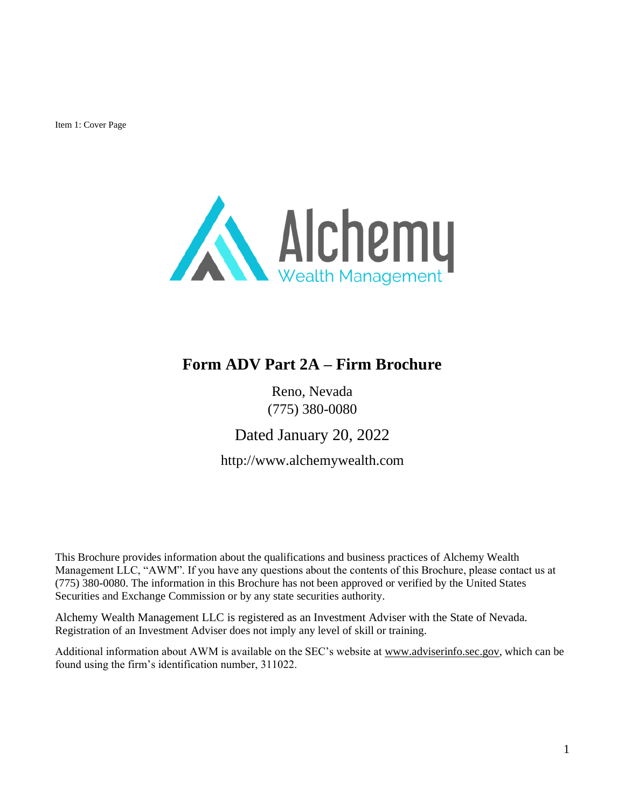<span id="page-0-0"></span>Item 1: Cover Page



## **Form ADV Part 2A – Firm Brochure**

Reno, Nevada (775) 380-0080

Dated January 20, 2022

http://www.alchemywealth.com

This Brochure provides information about the qualifications and business practices of Alchemy Wealth Management LLC, "AWM". If you have any questions about the contents of this Brochure, please contact us at (775) 380-0080. The information in this Brochure has not been approved or verified by the United States Securities and Exchange Commission or by any state securities authority.

Alchemy Wealth Management LLC is registered as an Investment Adviser with the State of Nevada. Registration of an Investment Adviser does not imply any level of skill or training.

Additional information about AWM is available on the SEC's website at [www.adviserinfo.sec.gov,](http://www.adviserinfo.sec.gov/) which can be found using the firm's identification number, 311022.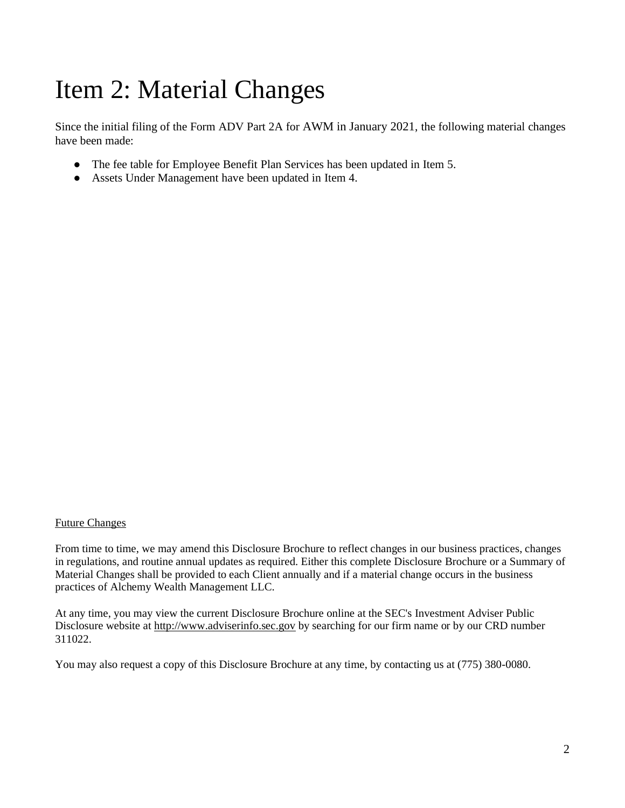# <span id="page-1-0"></span>Item 2: Material Changes

Since the initial filing of the Form ADV Part 2A for AWM in January 2021, the following material changes have been made:

- The fee table for Employee Benefit Plan Services has been updated in Item 5.
- Assets Under Management have been updated in Item 4.

#### Future Changes

From time to time, we may amend this Disclosure Brochure to reflect changes in our business practices, changes in regulations, and routine annual updates as required. Either this complete Disclosure Brochure or a Summary of Material Changes shall be provided to each Client annually and if a material change occurs in the business practices of Alchemy Wealth Management LLC.

At any time, you may view the current Disclosure Brochure online at the SEC's Investment Adviser Public Disclosure website at [http://www.adviserinfo.sec.gov](http://www.adviserinfo.sec.gov/) by searching for our firm name or by our CRD number 311022.

You may also request a copy of this Disclosure Brochure at any time, by contacting us at (775) 380-0080.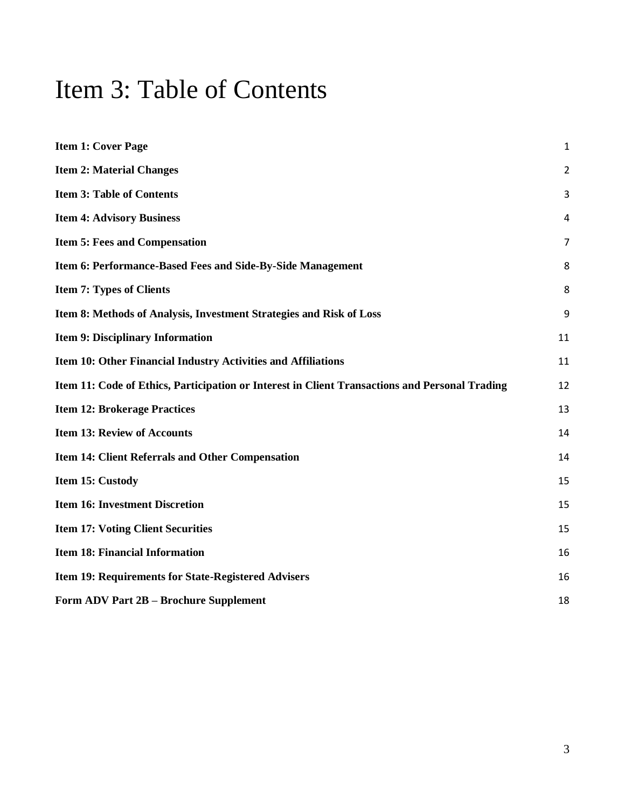## <span id="page-2-0"></span>Item 3: Table of Contents

| <b>Item 1: Cover Page</b>                                                                      | 1              |
|------------------------------------------------------------------------------------------------|----------------|
| <b>Item 2: Material Changes</b>                                                                | $\overline{c}$ |
| <b>Item 3: Table of Contents</b>                                                               | 3              |
| <b>Item 4: Advisory Business</b>                                                               | 4              |
| <b>Item 5: Fees and Compensation</b>                                                           | 7              |
| Item 6: Performance-Based Fees and Side-By-Side Management                                     | 8              |
| <b>Item 7: Types of Clients</b>                                                                | 8              |
| Item 8: Methods of Analysis, Investment Strategies and Risk of Loss                            | 9              |
| <b>Item 9: Disciplinary Information</b>                                                        | 11             |
| Item 10: Other Financial Industry Activities and Affiliations                                  | 11             |
| Item 11: Code of Ethics, Participation or Interest in Client Transactions and Personal Trading | 12             |
| <b>Item 12: Brokerage Practices</b>                                                            | 13             |
| <b>Item 13: Review of Accounts</b>                                                             | 14             |
| <b>Item 14: Client Referrals and Other Compensation</b>                                        | 14             |
| Item 15: Custody                                                                               | 15             |
| <b>Item 16: Investment Discretion</b>                                                          | 15             |
| <b>Item 17: Voting Client Securities</b>                                                       | 15             |
| <b>Item 18: Financial Information</b>                                                          | 16             |
| Item 19: Requirements for State-Registered Advisers                                            | 16             |
| Form ADV Part 2B - Brochure Supplement                                                         | 18             |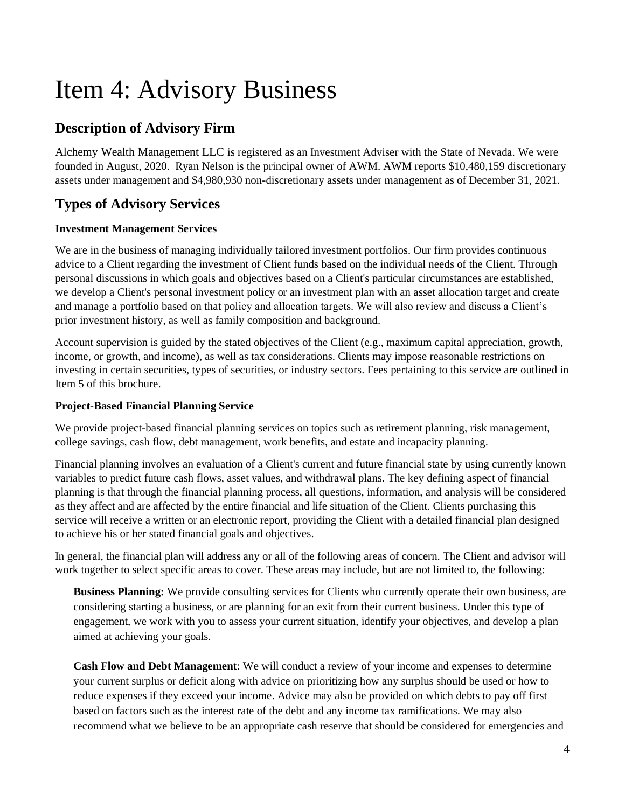# Item 4: Advisory Business

## **Description of Advisory Firm**

Alchemy Wealth Management LLC is registered as an Investment Adviser with the State of Nevada. We were founded in August, 2020. Ryan Nelson is the principal owner of AWM. AWM reports \$10,480,159 discretionary assets under management and \$4,980,930 non-discretionary assets under management as of December 31, 2021.

## **Types of Advisory Services**

#### **Investment Management Services**

We are in the business of managing individually tailored investment portfolios. Our firm provides continuous advice to a Client regarding the investment of Client funds based on the individual needs of the Client. Through personal discussions in which goals and objectives based on a Client's particular circumstances are established, we develop a Client's personal investment policy or an investment plan with an asset allocation target and create and manage a portfolio based on that policy and allocation targets. We will also review and discuss a Client's prior investment history, as well as family composition and background.

Account supervision is guided by the stated objectives of the Client (e.g., maximum capital appreciation, growth, income, or growth, and income), as well as tax considerations. Clients may impose reasonable restrictions on investing in certain securities, types of securities, or industry sectors. Fees pertaining to this service are outlined in Item 5 of this brochure.

#### **Project-Based Financial Planning Service**

We provide project-based financial planning services on topics such as retirement planning, risk management, college savings, cash flow, debt management, work benefits, and estate and incapacity planning.

Financial planning involves an evaluation of a Client's current and future financial state by using currently known variables to predict future cash flows, asset values, and withdrawal plans. The key defining aspect of financial planning is that through the financial planning process, all questions, information, and analysis will be considered as they affect and are affected by the entire financial and life situation of the Client. Clients purchasing this service will receive a written or an electronic report, providing the Client with a detailed financial plan designed to achieve his or her stated financial goals and objectives.

In general, the financial plan will address any or all of the following areas of concern. The Client and advisor will work together to select specific areas to cover. These areas may include, but are not limited to, the following:

**Business Planning:** We provide consulting services for Clients who currently operate their own business, are considering starting a business, or are planning for an exit from their current business. Under this type of engagement, we work with you to assess your current situation, identify your objectives, and develop a plan aimed at achieving your goals.

**Cash Flow and Debt Management**: We will conduct a review of your income and expenses to determine your current surplus or deficit along with advice on prioritizing how any surplus should be used or how to reduce expenses if they exceed your income. Advice may also be provided on which debts to pay off first based on factors such as the interest rate of the debt and any income tax ramifications. We may also recommend what we believe to be an appropriate cash reserve that should be considered for emergencies and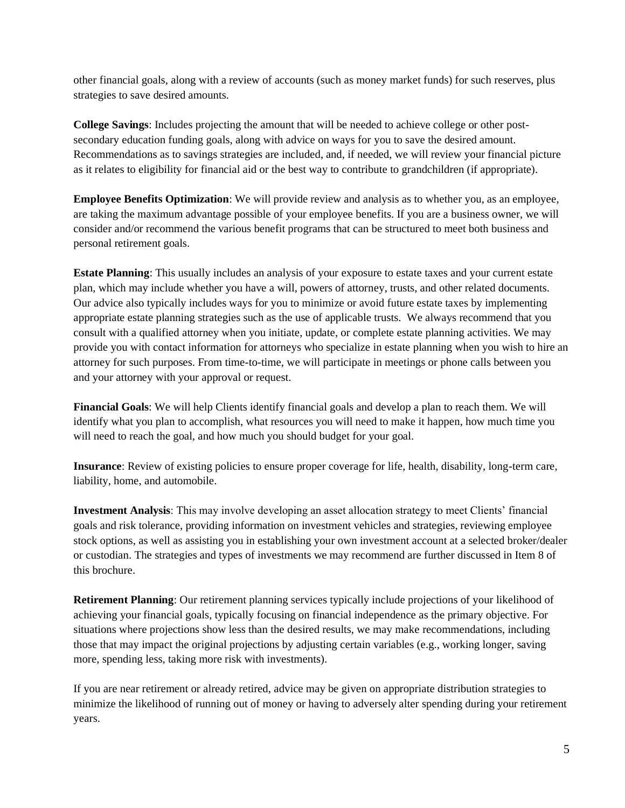other financial goals, along with a review of accounts (such as money market funds) for such reserves, plus strategies to save desired amounts.

**College Savings**: Includes projecting the amount that will be needed to achieve college or other postsecondary education funding goals, along with advice on ways for you to save the desired amount. Recommendations as to savings strategies are included, and, if needed, we will review your financial picture as it relates to eligibility for financial aid or the best way to contribute to grandchildren (if appropriate).

**Employee Benefits Optimization**: We will provide review and analysis as to whether you, as an employee, are taking the maximum advantage possible of your employee benefits. If you are a business owner, we will consider and/or recommend the various benefit programs that can be structured to meet both business and personal retirement goals.

**Estate Planning**: This usually includes an analysis of your exposure to estate taxes and your current estate plan, which may include whether you have a will, powers of attorney, trusts, and other related documents. Our advice also typically includes ways for you to minimize or avoid future estate taxes by implementing appropriate estate planning strategies such as the use of applicable trusts. We always recommend that you consult with a qualified attorney when you initiate, update, or complete estate planning activities. We may provide you with contact information for attorneys who specialize in estate planning when you wish to hire an attorney for such purposes. From time-to-time, we will participate in meetings or phone calls between you and your attorney with your approval or request.

**Financial Goals**: We will help Clients identify financial goals and develop a plan to reach them. We will identify what you plan to accomplish, what resources you will need to make it happen, how much time you will need to reach the goal, and how much you should budget for your goal.

**Insurance**: Review of existing policies to ensure proper coverage for life, health, disability, long-term care, liability, home, and automobile.

**Investment Analysis**: This may involve developing an asset allocation strategy to meet Clients' financial goals and risk tolerance, providing information on investment vehicles and strategies, reviewing employee stock options, as well as assisting you in establishing your own investment account at a selected broker/dealer or custodian. The strategies and types of investments we may recommend are further discussed in Item 8 of this brochure.

**Retirement Planning**: Our retirement planning services typically include projections of your likelihood of achieving your financial goals, typically focusing on financial independence as the primary objective. For situations where projections show less than the desired results, we may make recommendations, including those that may impact the original projections by adjusting certain variables (e.g., working longer, saving more, spending less, taking more risk with investments).

If you are near retirement or already retired, advice may be given on appropriate distribution strategies to minimize the likelihood of running out of money or having to adversely alter spending during your retirement years.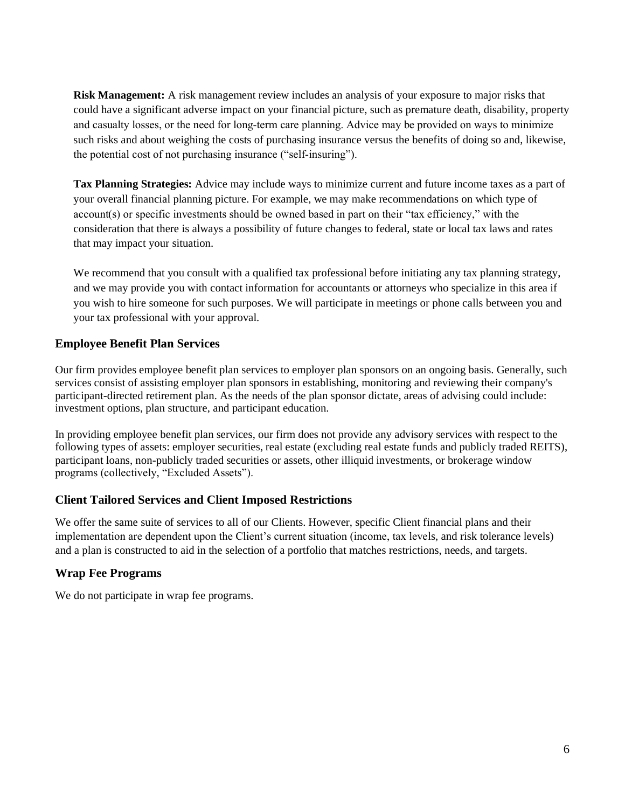**Risk Management:** A risk management review includes an analysis of your exposure to major risks that could have a significant adverse impact on your financial picture, such as premature death, disability, property and casualty losses, or the need for long-term care planning. Advice may be provided on ways to minimize such risks and about weighing the costs of purchasing insurance versus the benefits of doing so and, likewise, the potential cost of not purchasing insurance ("self‐insuring").

**Tax Planning Strategies:** Advice may include ways to minimize current and future income taxes as a part of your overall financial planning picture. For example, we may make recommendations on which type of account(s) or specific investments should be owned based in part on their "tax efficiency," with the consideration that there is always a possibility of future changes to federal, state or local tax laws and rates that may impact your situation.

We recommend that you consult with a qualified tax professional before initiating any tax planning strategy, and we may provide you with contact information for accountants or attorneys who specialize in this area if you wish to hire someone for such purposes. We will participate in meetings or phone calls between you and your tax professional with your approval.

### **Employee Benefit Plan Services**

Our firm provides employee benefit plan services to employer plan sponsors on an ongoing basis. Generally, such services consist of assisting employer plan sponsors in establishing, monitoring and reviewing their company's participant-directed retirement plan. As the needs of the plan sponsor dictate, areas of advising could include: investment options, plan structure, and participant education.

In providing employee benefit plan services, our firm does not provide any advisory services with respect to the following types of assets: employer securities, real estate (excluding real estate funds and publicly traded REITS), participant loans, non-publicly traded securities or assets, other illiquid investments, or brokerage window programs (collectively, "Excluded Assets").

#### **Client Tailored Services and Client Imposed Restrictions**

We offer the same suite of services to all of our Clients. However, specific Client financial plans and their implementation are dependent upon the Client's current situation (income, tax levels, and risk tolerance levels) and a plan is constructed to aid in the selection of a portfolio that matches restrictions, needs, and targets.

### **Wrap Fee Programs**

We do not participate in wrap fee programs.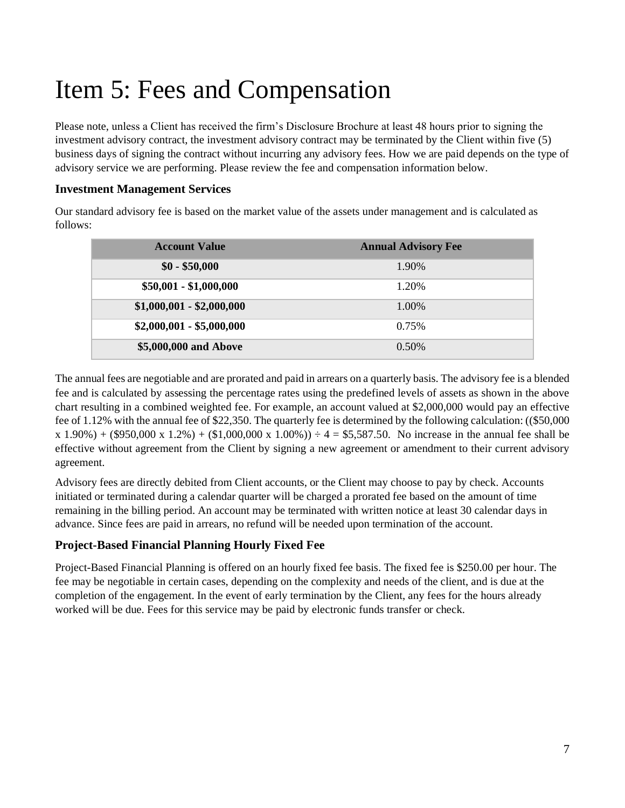# <span id="page-6-0"></span>Item 5: Fees and Compensation

Please note, unless a Client has received the firm's Disclosure Brochure at least 48 hours prior to signing the investment advisory contract, the investment advisory contract may be terminated by the Client within five (5) business days of signing the contract without incurring any advisory fees. How we are paid depends on the type of advisory service we are performing. Please review the fee and compensation information below.

#### **Investment Management Services**

Our standard advisory fee is based on the market value of the assets under management and is calculated as follows:

| <b>Account Value</b>      | <b>Annual Advisory Fee</b> |
|---------------------------|----------------------------|
| $$0 - $50,000$            | 1.90%                      |
| $$50,001 - $1,000,000$    | 1.20%                      |
| $$1,000,001 - $2,000,000$ | 1.00%                      |
| $$2,000,001 - $5,000,000$ | 0.75%                      |
| \$5,000,000 and Above     | $0.50\%$                   |

The annual fees are negotiable and are prorated and paid in arrears on a quarterly basis. The advisory fee is a blended fee and is calculated by assessing the percentage rates using the predefined levels of assets as shown in the above chart resulting in a combined weighted fee. For example, an account valued at \$2,000,000 would pay an effective fee of 1.12% with the annual fee of \$22,350. The quarterly fee is determined by the following calculation: ((\$50,000  $x 1.90\%$  + (\$950,000 x 1.2%) + (\$1,000,000 x 1.00%))  $\div$  4 = \$5,587.50. No increase in the annual fee shall be effective without agreement from the Client by signing a new agreement or amendment to their current advisory agreement.

Advisory fees are directly debited from Client accounts, or the Client may choose to pay by check. Accounts initiated or terminated during a calendar quarter will be charged a prorated fee based on the amount of time remaining in the billing period. An account may be terminated with written notice at least 30 calendar days in advance. Since fees are paid in arrears, no refund will be needed upon termination of the account.

#### **Project-Based Financial Planning Hourly Fixed Fee**

Project-Based Financial Planning is offered on an hourly fixed fee basis. The fixed fee is \$250.00 per hour. The fee may be negotiable in certain cases, depending on the complexity and needs of the client, and is due at the completion of the engagement. In the event of early termination by the Client, any fees for the hours already worked will be due. Fees for this service may be paid by electronic funds transfer or check.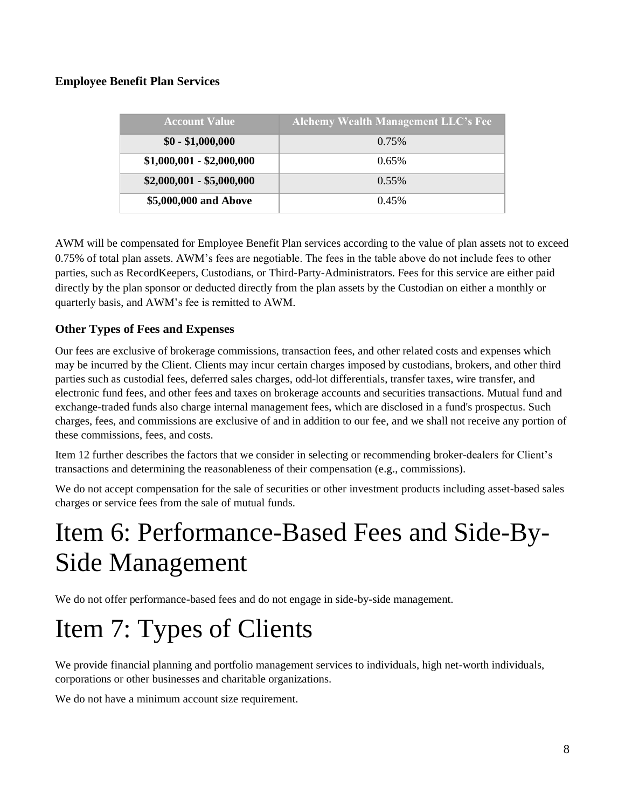### **Employee Benefit Plan Services**

| <b>Account Value</b>      | <b>Alchemy Wealth Management LLC's Fee</b> |
|---------------------------|--------------------------------------------|
| $$0 - $1,000,000$         | 0.75%                                      |
| $$1,000,001 - $2,000,000$ | $0.65\%$                                   |
| $$2,000,001 - $5,000,000$ | $0.55\%$                                   |
| \$5,000,000 and Above     | 0.45%                                      |

AWM will be compensated for Employee Benefit Plan services according to the value of plan assets not to exceed 0.75% of total plan assets. AWM's fees are negotiable. The fees in the table above do not include fees to other parties, such as RecordKeepers, Custodians, or Third-Party-Administrators. Fees for this service are either paid directly by the plan sponsor or deducted directly from the plan assets by the Custodian on either a monthly or quarterly basis, and AWM's fee is remitted to AWM.

### **Other Types of Fees and Expenses**

Our fees are exclusive of brokerage commissions, transaction fees, and other related costs and expenses which may be incurred by the Client. Clients may incur certain charges imposed by custodians, brokers, and other third parties such as custodial fees, deferred sales charges, odd-lot differentials, transfer taxes, wire transfer, and electronic fund fees, and other fees and taxes on brokerage accounts and securities transactions. Mutual fund and exchange-traded funds also charge internal management fees, which are disclosed in a fund's prospectus. Such charges, fees, and commissions are exclusive of and in addition to our fee, and we shall not receive any portion of these commissions, fees, and costs.

Item 12 further describes the factors that we consider in selecting or recommending broker-dealers for Client's transactions and determining the reasonableness of their compensation (e.g., commissions).

We do not accept compensation for the sale of securities or other investment products including asset-based sales charges or service fees from the sale of mutual funds.

# <span id="page-7-0"></span>Item 6: Performance-Based Fees and Side-By-Side Management

We do not offer performance-based fees and do not engage in side-by-side management.

# <span id="page-7-1"></span>Item 7: Types of Clients

We provide financial planning and portfolio management services to individuals, high net-worth individuals, corporations or other businesses and charitable organizations.

We do not have a minimum account size requirement.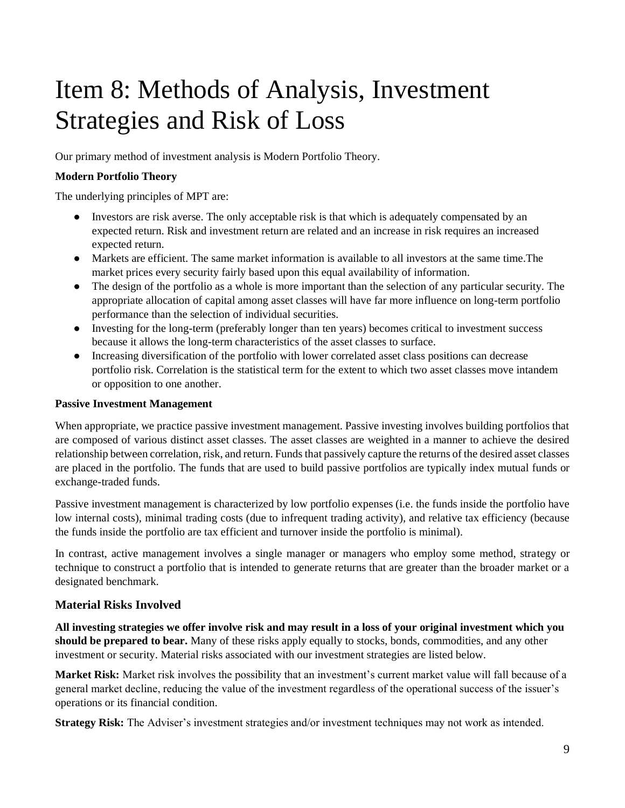# <span id="page-8-0"></span>Item 8: Methods of Analysis, Investment Strategies and Risk of Loss

Our primary method of investment analysis is Modern Portfolio Theory.

#### **Modern Portfolio Theory**

The underlying principles of MPT are:

- Investors are risk averse. The only acceptable risk is that which is adequately compensated by an expected return. Risk and investment return are related and an increase in risk requires an increased expected return.
- Markets are efficient. The same market information is available to all investors at the same time.The market prices every security fairly based upon this equal availability of information.
- The design of the portfolio as a whole is more important than the selection of any particular security. The appropriate allocation of capital among asset classes will have far more influence on long-term portfolio performance than the selection of individual securities.
- Investing for the long-term (preferably longer than ten years) becomes critical to investment success because it allows the long-term characteristics of the asset classes to surface.
- Increasing diversification of the portfolio with lower correlated asset class positions can decrease portfolio risk. Correlation is the statistical term for the extent to which two asset classes move intandem or opposition to one another.

#### **Passive Investment Management**

When appropriate, we practice passive investment management. Passive investing involves building portfolios that are composed of various distinct asset classes. The asset classes are weighted in a manner to achieve the desired relationship between correlation, risk, and return. Funds that passively capture the returns of the desired asset classes are placed in the portfolio. The funds that are used to build passive portfolios are typically index mutual funds or exchange-traded funds.

Passive investment management is characterized by low portfolio expenses (i.e. the funds inside the portfolio have low internal costs), minimal trading costs (due to infrequent trading activity), and relative tax efficiency (because the funds inside the portfolio are tax efficient and turnover inside the portfolio is minimal).

In contrast, active management involves a single manager or managers who employ some method, strategy or technique to construct a portfolio that is intended to generate returns that are greater than the broader market or a designated benchmark.

#### **Material Risks Involved**

**All investing strategies we offer involve risk and may result in a loss of your original investment which you should be prepared to bear.** Many of these risks apply equally to stocks, bonds, commodities, and any other investment or security. Material risks associated with our investment strategies are listed below.

**Market Risk:** Market risk involves the possibility that an investment's current market value will fall because of a general market decline, reducing the value of the investment regardless of the operational success of the issuer's operations or its financial condition.

**Strategy Risk:** The Adviser's investment strategies and/or investment techniques may not work as intended.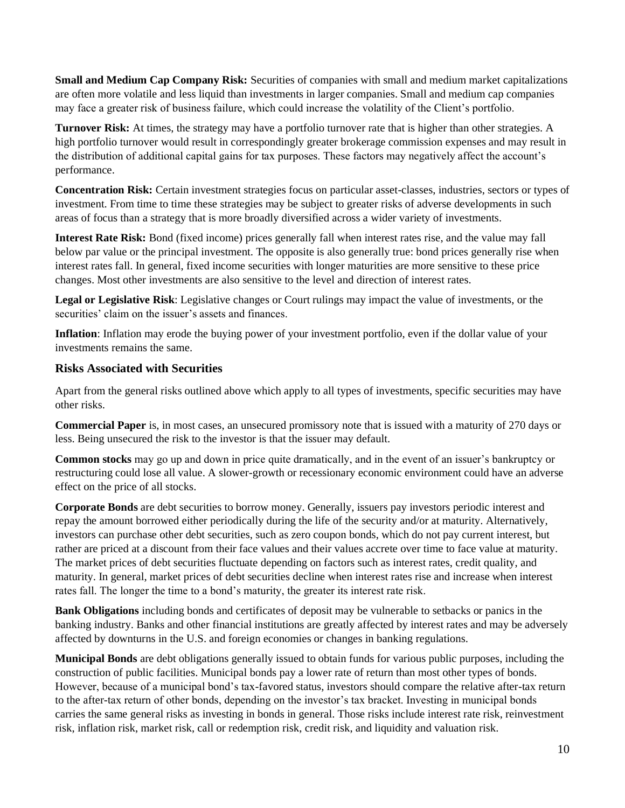**Small and Medium Cap Company Risk:** Securities of companies with small and medium market capitalizations are often more volatile and less liquid than investments in larger companies. Small and medium cap companies may face a greater risk of business failure, which could increase the volatility of the Client's portfolio.

**Turnover Risk:** At times, the strategy may have a portfolio turnover rate that is higher than other strategies. A high portfolio turnover would result in correspondingly greater brokerage commission expenses and may result in the distribution of additional capital gains for tax purposes. These factors may negatively affect the account's performance.

**Concentration Risk:** Certain investment strategies focus on particular asset-classes, industries, sectors or types of investment. From time to time these strategies may be subject to greater risks of adverse developments in such areas of focus than a strategy that is more broadly diversified across a wider variety of investments.

**Interest Rate Risk:** Bond (fixed income) prices generally fall when interest rates rise, and the value may fall below par value or the principal investment. The opposite is also generally true: bond prices generally rise when interest rates fall. In general, fixed income securities with longer maturities are more sensitive to these price changes. Most other investments are also sensitive to the level and direction of interest rates.

**Legal or Legislative Risk**: Legislative changes or Court rulings may impact the value of investments, or the securities' claim on the issuer's assets and finances.

**Inflation**: Inflation may erode the buying power of your investment portfolio, even if the dollar value of your investments remains the same.

#### **Risks Associated with Securities**

Apart from the general risks outlined above which apply to all types of investments, specific securities may have other risks.

**Commercial Paper** is, in most cases, an unsecured promissory note that is issued with a maturity of 270 days or less. Being unsecured the risk to the investor is that the issuer may default.

**Common stocks** may go up and down in price quite dramatically, and in the event of an issuer's bankruptcy or restructuring could lose all value. A slower-growth or recessionary economic environment could have an adverse effect on the price of all stocks.

**Corporate Bonds** are debt securities to borrow money. Generally, issuers pay investors periodic interest and repay the amount borrowed either periodically during the life of the security and/or at maturity. Alternatively, investors can purchase other debt securities, such as zero coupon bonds, which do not pay current interest, but rather are priced at a discount from their face values and their values accrete over time to face value at maturity. The market prices of debt securities fluctuate depending on factors such as interest rates, credit quality, and maturity. In general, market prices of debt securities decline when interest rates rise and increase when interest rates fall. The longer the time to a bond's maturity, the greater its interest rate risk.

**Bank Obligations** including bonds and certificates of deposit may be vulnerable to setbacks or panics in the banking industry. Banks and other financial institutions are greatly affected by interest rates and may be adversely affected by downturns in the U.S. and foreign economies or changes in banking regulations.

**Municipal Bonds** are debt obligations generally issued to obtain funds for various public purposes, including the construction of public facilities. Municipal bonds pay a lower rate of return than most other types of bonds. However, because of a municipal bond's tax-favored status, investors should compare the relative after-tax return to the after-tax return of other bonds, depending on the investor's tax bracket. Investing in municipal bonds carries the same general risks as investing in bonds in general. Those risks include interest rate risk, reinvestment risk, inflation risk, market risk, call or redemption risk, credit risk, and liquidity and valuation risk.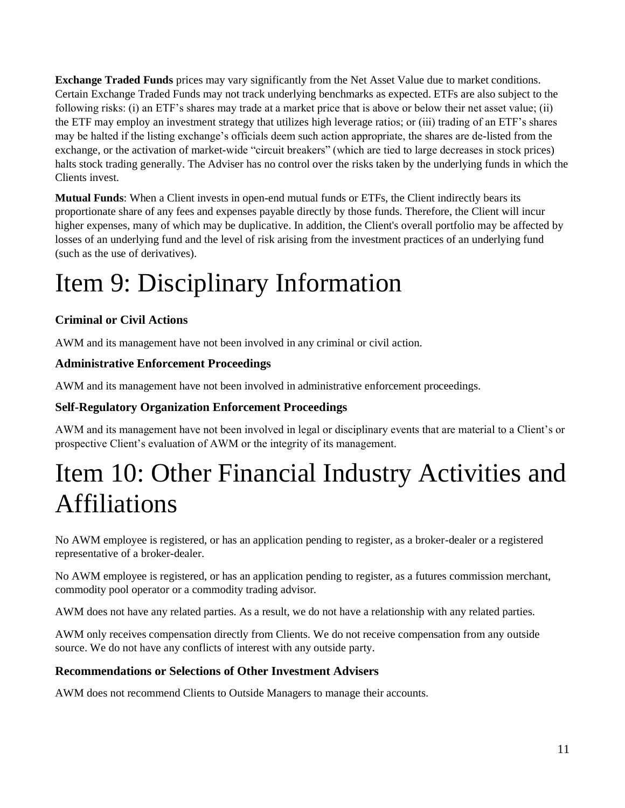**Exchange Traded Funds** prices may vary significantly from the Net Asset Value due to market conditions. Certain Exchange Traded Funds may not track underlying benchmarks as expected. ETFs are also subject to the following risks: (i) an ETF's shares may trade at a market price that is above or below their net asset value; (ii) the ETF may employ an investment strategy that utilizes high leverage ratios; or (iii) trading of an ETF's shares may be halted if the listing exchange's officials deem such action appropriate, the shares are de-listed from the exchange, or the activation of market-wide "circuit breakers" (which are tied to large decreases in stock prices) halts stock trading generally. The Adviser has no control over the risks taken by the underlying funds in which the Clients invest.

**Mutual Funds**: When a Client invests in open-end mutual funds or ETFs, the Client indirectly bears its proportionate share of any fees and expenses payable directly by those funds. Therefore, the Client will incur higher expenses, many of which may be duplicative. In addition, the Client's overall portfolio may be affected by losses of an underlying fund and the level of risk arising from the investment practices of an underlying fund (such as the use of derivatives).

# <span id="page-10-0"></span>Item 9: Disciplinary Information

### **Criminal or Civil Actions**

AWM and its management have not been involved in any criminal or civil action.

### **Administrative Enforcement Proceedings**

AWM and its management have not been involved in administrative enforcement proceedings.

### **Self-Regulatory Organization Enforcement Proceedings**

AWM and its management have not been involved in legal or disciplinary events that are material to a Client's or prospective Client's evaluation of AWM or the integrity of its management.

## <span id="page-10-1"></span>Item 10: Other Financial Industry Activities and Affiliations

No AWM employee is registered, or has an application pending to register, as a broker-dealer or a registered representative of a broker-dealer.

No AWM employee is registered, or has an application pending to register, as a futures commission merchant, commodity pool operator or a commodity trading advisor.

AWM does not have any related parties. As a result, we do not have a relationship with any related parties.

AWM only receives compensation directly from Clients. We do not receive compensation from any outside source. We do not have any conflicts of interest with any outside party.

### **Recommendations or Selections of Other Investment Advisers**

AWM does not recommend Clients to Outside Managers to manage their accounts.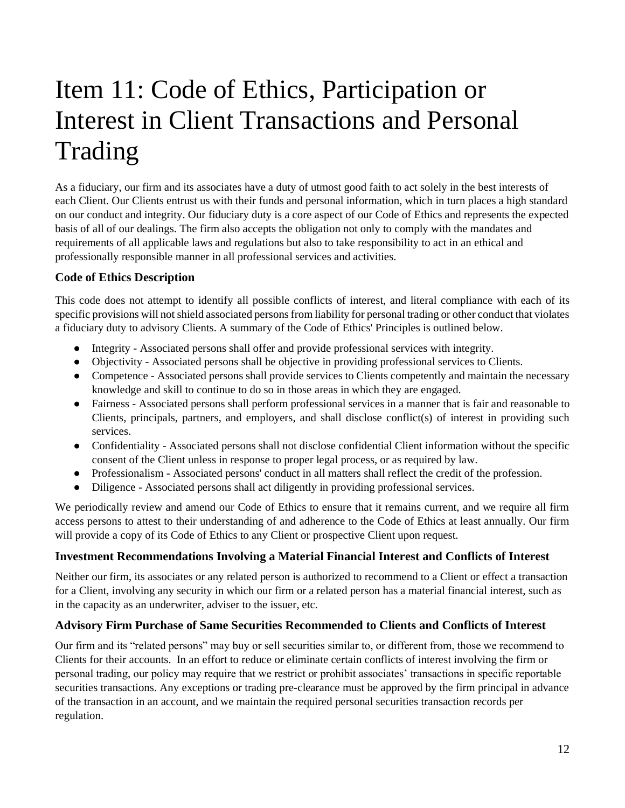# <span id="page-11-0"></span>Item 11: Code of Ethics, Participation or Interest in Client Transactions and Personal Trading

As a fiduciary, our firm and its associates have a duty of utmost good faith to act solely in the best interests of each Client. Our Clients entrust us with their funds and personal information, which in turn places a high standard on our conduct and integrity. Our fiduciary duty is a core aspect of our Code of Ethics and represents the expected basis of all of our dealings. The firm also accepts the obligation not only to comply with the mandates and requirements of all applicable laws and regulations but also to take responsibility to act in an ethical and professionally responsible manner in all professional services and activities.

### **Code of Ethics Description**

This code does not attempt to identify all possible conflicts of interest, and literal compliance with each of its specific provisions will not shield associated persons from liability for personal trading or other conduct that violates a fiduciary duty to advisory Clients. A summary of the Code of Ethics' Principles is outlined below.

- Integrity Associated persons shall offer and provide professional services with integrity.
- Objectivity Associated persons shall be objective in providing professional services to Clients.
- Competence Associated persons shall provide services to Clients competently and maintain the necessary knowledge and skill to continue to do so in those areas in which they are engaged.
- Fairness Associated persons shall perform professional services in a manner that is fair and reasonable to Clients, principals, partners, and employers, and shall disclose conflict(s) of interest in providing such services.
- Confidentiality Associated persons shall not disclose confidential Client information without the specific consent of the Client unless in response to proper legal process, or as required by law.
- Professionalism Associated persons' conduct in all matters shall reflect the credit of the profession.
- Diligence Associated persons shall act diligently in providing professional services.

We periodically review and amend our Code of Ethics to ensure that it remains current, and we require all firm access persons to attest to their understanding of and adherence to the Code of Ethics at least annually. Our firm will provide a copy of its Code of Ethics to any Client or prospective Client upon request.

#### **Investment Recommendations Involving a Material Financial Interest and Conflicts of Interest**

Neither our firm, its associates or any related person is authorized to recommend to a Client or effect a transaction for a Client, involving any security in which our firm or a related person has a material financial interest, such as in the capacity as an underwriter, adviser to the issuer, etc.

#### **Advisory Firm Purchase of Same Securities Recommended to Clients and Conflicts of Interest**

Our firm and its "related persons" may buy or sell securities similar to, or different from, those we recommend to Clients for their accounts. In an effort to reduce or eliminate certain conflicts of interest involving the firm or personal trading, our policy may require that we restrict or prohibit associates' transactions in specific reportable securities transactions. Any exceptions or trading pre-clearance must be approved by the firm principal in advance of the transaction in an account, and we maintain the required personal securities transaction records per regulation.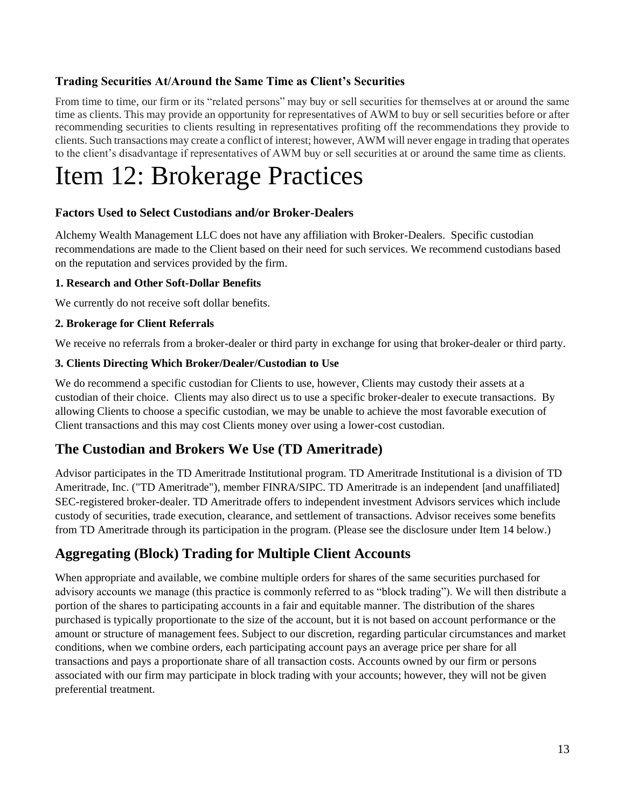#### **Trading Securities At/Around the Same Time as Client's Securities**

From time to time, our firm or its "related persons" may buy or sell securities for themselves at or around the same time as clients. This may provide an opportunity for representatives of AWM to buy or sell securities before or after recommending securities to clients resulting in representatives profiting off the recommendations they provide to clients. Such transactions may create a conflict of interest; however, AWM will never engage in trading that operates to the client's disadvantage if representatives of AWM buy or sell securities at or around the same time as clients.

## <span id="page-12-0"></span>Item 12: Brokerage Practices

#### **Factors Used to Select Custodians and/or Broker-Dealers**

Alchemy Wealth Management LLC does not have any affiliation with Broker-Dealers. Specific custodian recommendations are made to the Client based on their need for such services. We recommend custodians based on the reputation and services provided by the firm.

#### **1. Research and Other Soft-Dollar Benefits**

We currently do not receive soft dollar benefits.

#### **2. Brokerage for Client Referrals**

We receive no referrals from a broker-dealer or third party in exchange for using that broker-dealer or third party.

#### **3. Clients Directing Which Broker/Dealer/Custodian to Use**

We do recommend a specific custodian for Clients to use, however, Clients may custody their assets at a custodian of their choice. Clients may also direct us to use a specific broker-dealer to execute transactions. By allowing Clients to choose a specific custodian, we may be unable to achieve the most favorable execution of Client transactions and this may cost Clients money over using a lower-cost custodian.

### **The Custodian and Brokers We Use (TD Ameritrade)**

Advisor participates in the TD Ameritrade Institutional program. TD Ameritrade Institutional is a division of TD Ameritrade, Inc. ("TD Ameritrade"), member FINRA/SIPC. TD Ameritrade is an independent [and unaffiliated] SEC-registered broker-dealer. TD Ameritrade offers to independent investment Advisors services which include custody of securities, trade execution, clearance, and settlement of transactions. Advisor receives some benefits from TD Ameritrade through its participation in the program. (Please see the disclosure under Item 14 below.)

### **Aggregating (Block) Trading for Multiple Client Accounts**

When appropriate and available, we combine multiple orders for shares of the same securities purchased for advisory accounts we manage (this practice is commonly referred to as "block trading"). We will then distribute a portion of the shares to participating accounts in a fair and equitable manner. The distribution of the shares purchased is typically proportionate to the size of the account, but it is not based on account performance or the amount or structure of management fees. Subject to our discretion, regarding particular circumstances and market conditions, when we combine orders, each participating account pays an average price per share for all transactions and pays a proportionate share of all transaction costs. Accounts owned by our firm or persons associated with our firm may participate in block trading with your accounts; however, they will not be given preferential treatment.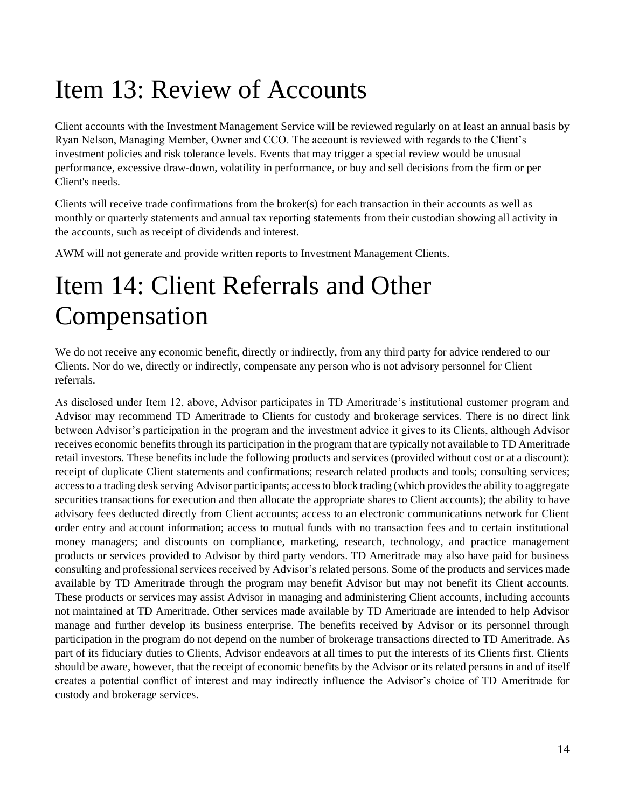# <span id="page-13-0"></span>Item 13: Review of Accounts

Client accounts with the Investment Management Service will be reviewed regularly on at least an annual basis by Ryan Nelson, Managing Member, Owner and CCO. The account is reviewed with regards to the Client's investment policies and risk tolerance levels. Events that may trigger a special review would be unusual performance, excessive draw-down, volatility in performance, or buy and sell decisions from the firm or per Client's needs.

Clients will receive trade confirmations from the broker(s) for each transaction in their accounts as well as monthly or quarterly statements and annual tax reporting statements from their custodian showing all activity in the accounts, such as receipt of dividends and interest.

AWM will not generate and provide written reports to Investment Management Clients.

## <span id="page-13-1"></span>Item 14: Client Referrals and Other Compensation

We do not receive any economic benefit, directly or indirectly, from any third party for advice rendered to our Clients. Nor do we, directly or indirectly, compensate any person who is not advisory personnel for Client referrals.

As disclosed under Item 12, above, Advisor participates in TD Ameritrade's institutional customer program and Advisor may recommend TD Ameritrade to Clients for custody and brokerage services. There is no direct link between Advisor's participation in the program and the investment advice it gives to its Clients, although Advisor receives economic benefits through its participation in the program that are typically not available to TD Ameritrade retail investors. These benefits include the following products and services (provided without cost or at a discount): receipt of duplicate Client statements and confirmations; research related products and tools; consulting services; access to a trading desk serving Advisor participants; access to block trading (which provides the ability to aggregate securities transactions for execution and then allocate the appropriate shares to Client accounts); the ability to have advisory fees deducted directly from Client accounts; access to an electronic communications network for Client order entry and account information; access to mutual funds with no transaction fees and to certain institutional money managers; and discounts on compliance, marketing, research, technology, and practice management products or services provided to Advisor by third party vendors. TD Ameritrade may also have paid for business consulting and professional services received by Advisor's related persons. Some of the products and services made available by TD Ameritrade through the program may benefit Advisor but may not benefit its Client accounts. These products or services may assist Advisor in managing and administering Client accounts, including accounts not maintained at TD Ameritrade. Other services made available by TD Ameritrade are intended to help Advisor manage and further develop its business enterprise. The benefits received by Advisor or its personnel through participation in the program do not depend on the number of brokerage transactions directed to TD Ameritrade. As part of its fiduciary duties to Clients, Advisor endeavors at all times to put the interests of its Clients first. Clients should be aware, however, that the receipt of economic benefits by the Advisor or its related persons in and of itself creates a potential conflict of interest and may indirectly influence the Advisor's choice of TD Ameritrade for custody and brokerage services.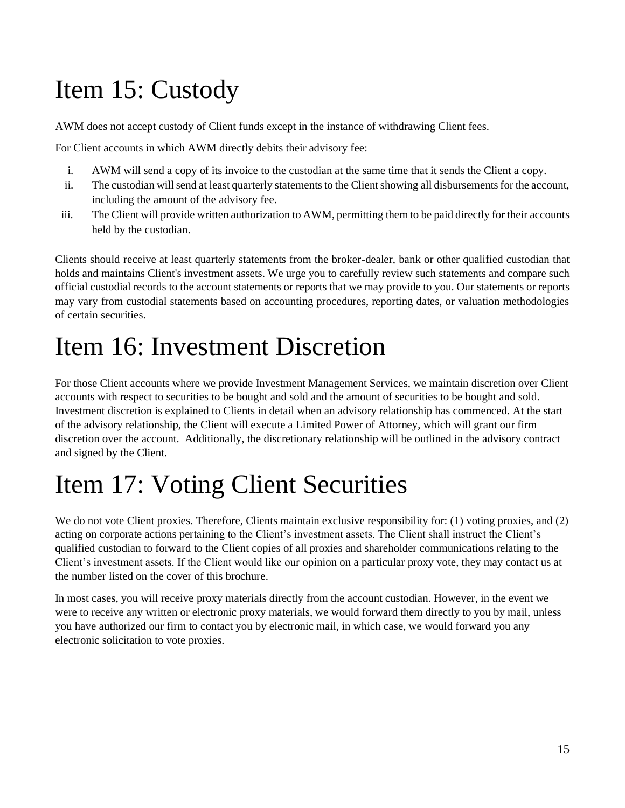# <span id="page-14-0"></span>Item 15: Custody

AWM does not accept custody of Client funds except in the instance of withdrawing Client fees.

For Client accounts in which AWM directly debits their advisory fee:

- i. AWM will send a copy of its invoice to the custodian at the same time that it sends the Client a copy.
- ii. The custodian will send at least quarterly statements to the Client showing all disbursements for the account, including the amount of the advisory fee.
- iii. The Client will provide written authorization to AWM, permitting them to be paid directly for their accounts held by the custodian.

Clients should receive at least quarterly statements from the broker-dealer, bank or other qualified custodian that holds and maintains Client's investment assets. We urge you to carefully review such statements and compare such official custodial records to the account statements or reports that we may provide to you. Our statements or reports may vary from custodial statements based on accounting procedures, reporting dates, or valuation methodologies of certain securities.

## <span id="page-14-1"></span>Item 16: Investment Discretion

For those Client accounts where we provide Investment Management Services, we maintain discretion over Client accounts with respect to securities to be bought and sold and the amount of securities to be bought and sold. Investment discretion is explained to Clients in detail when an advisory relationship has commenced. At the start of the advisory relationship, the Client will execute a Limited Power of Attorney, which will grant our firm discretion over the account. Additionally, the discretionary relationship will be outlined in the advisory contract and signed by the Client.

# <span id="page-14-2"></span>Item 17: Voting Client Securities

We do not vote Client proxies. Therefore, Clients maintain exclusive responsibility for: (1) voting proxies, and (2) acting on corporate actions pertaining to the Client's investment assets. The Client shall instruct the Client's qualified custodian to forward to the Client copies of all proxies and shareholder communications relating to the Client's investment assets. If the Client would like our opinion on a particular proxy vote, they may contact us at the number listed on the cover of this brochure.

In most cases, you will receive proxy materials directly from the account custodian. However, in the event we were to receive any written or electronic proxy materials, we would forward them directly to you by mail, unless you have authorized our firm to contact you by electronic mail, in which case, we would forward you any electronic solicitation to vote proxies.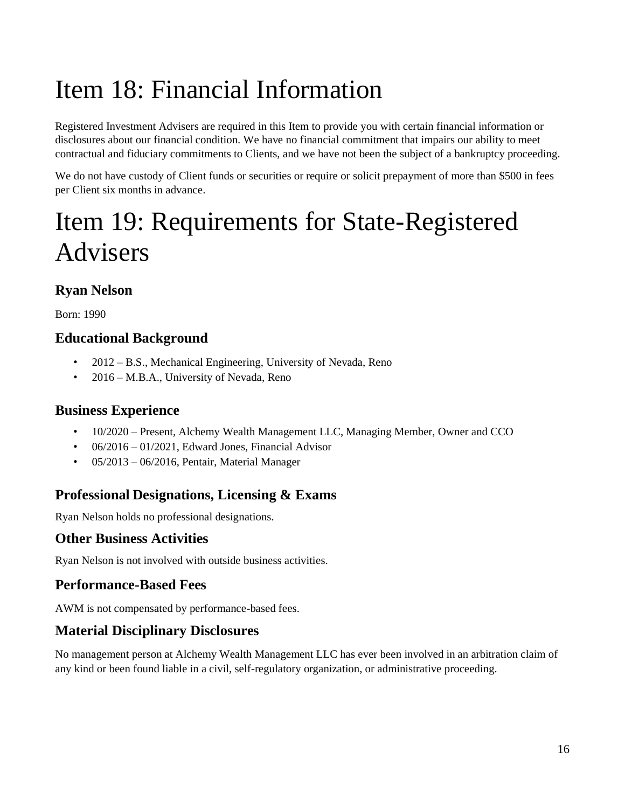# <span id="page-15-0"></span>Item 18: Financial Information

Registered Investment Advisers are required in this Item to provide you with certain financial information or disclosures about our financial condition. We have no financial commitment that impairs our ability to meet contractual and fiduciary commitments to Clients, and we have not been the subject of a bankruptcy proceeding.

We do not have custody of Client funds or securities or require or solicit prepayment of more than \$500 in fees per Client six months in advance.

# <span id="page-15-1"></span>Item 19: Requirements for State-Registered Advisers

## **Ryan Nelson**

Born: 1990

## **Educational Background**

- 2012 B.S., Mechanical Engineering, University of Nevada, Reno
- 2016 M.B.A., University of Nevada, Reno

### **Business Experience**

- 10/2020 Present, Alchemy Wealth Management LLC, Managing Member, Owner and CCO
- $06/2016 01/2021$ , Edward Jones, Financial Advisor
- 05/2013 06/2016, Pentair, Material Manager

### **Professional Designations, Licensing & Exams**

Ryan Nelson holds no professional designations.

### **Other Business Activities**

Ryan Nelson is not involved with outside business activities.

### **Performance-Based Fees**

AWM is not compensated by performance-based fees.

### **Material Disciplinary Disclosures**

No management person at Alchemy Wealth Management LLC has ever been involved in an arbitration claim of any kind or been found liable in a civil, self-regulatory organization, or administrative proceeding.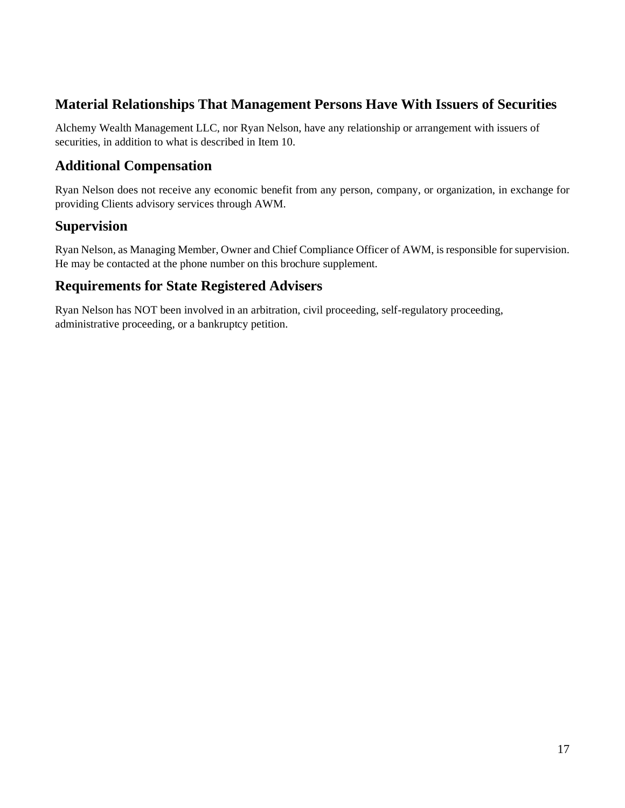### **Material Relationships That Management Persons Have With Issuers of Securities**

Alchemy Wealth Management LLC, nor Ryan Nelson, have any relationship or arrangement with issuers of securities, in addition to what is described in Item 10.

### **Additional Compensation**

Ryan Nelson does not receive any economic benefit from any person, company, or organization, in exchange for providing Clients advisory services through AWM.

### **Supervision**

Ryan Nelson, as Managing Member, Owner and Chief Compliance Officer of AWM, is responsible for supervision. He may be contacted at the phone number on this brochure supplement.

### **Requirements for State Registered Advisers**

Ryan Nelson has NOT been involved in an arbitration, civil proceeding, self-regulatory proceeding, administrative proceeding, or a bankruptcy petition.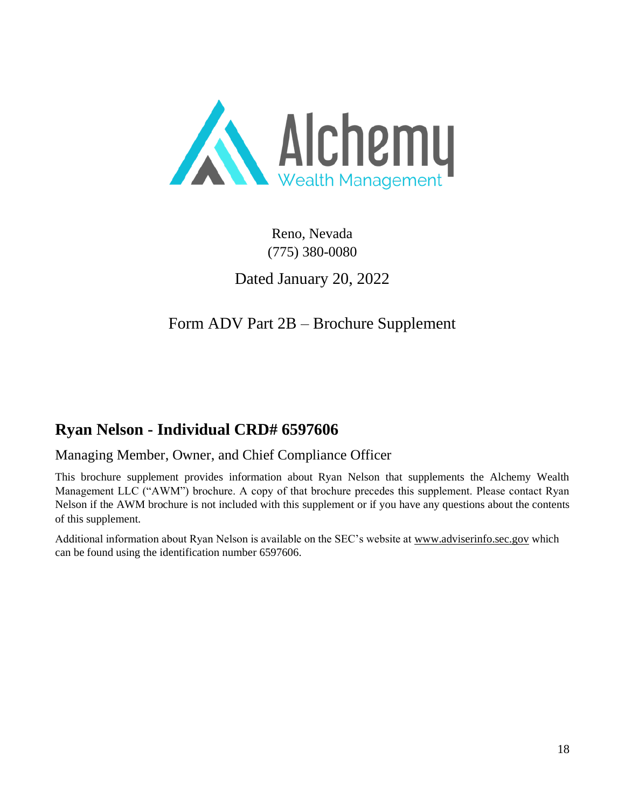

Reno, Nevada (775) 380-0080

Dated January 20, 2022

Form ADV Part 2B – Brochure Supplement

## <span id="page-17-0"></span>**Ryan Nelson - Individual CRD# 6597606**

### Managing Member, Owner, and Chief Compliance Officer

This brochure supplement provides information about Ryan Nelson that supplements the Alchemy Wealth Management LLC ("AWM") brochure. A copy of that brochure precedes this supplement. Please contact Ryan Nelson if the AWM brochure is not included with this supplement or if you have any questions about the contents of this supplement.

Additional information about Ryan Nelson is available on the SEC's website at [www.adviserinfo.sec.gov](http://www.adviserinfo.sec.gov/) which can be found using the identification number 6597606.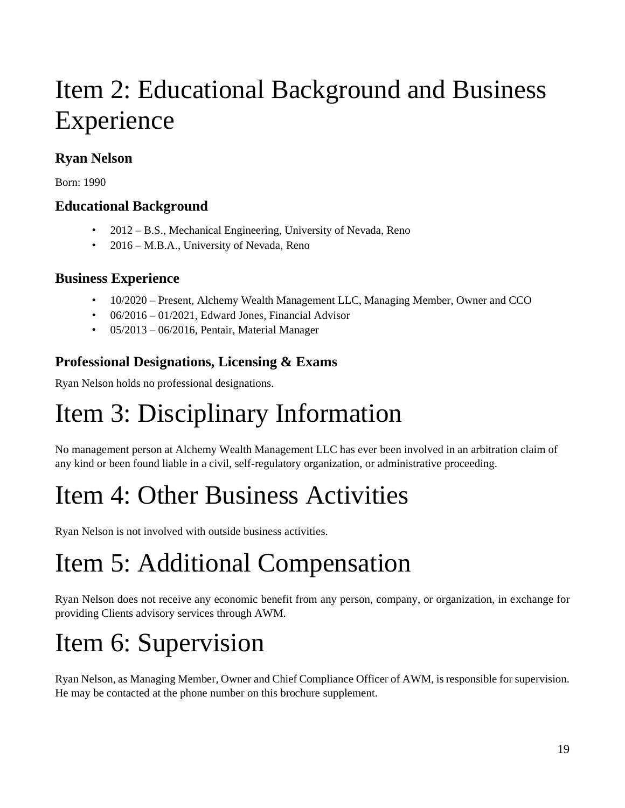# Item 2: Educational Background and Business Experience

## **Ryan Nelson**

Born: 1990

### **Educational Background**

- 2012 B.S., Mechanical Engineering, University of Nevada, Reno
- 2016 M.B.A., University of Nevada, Reno

### **Business Experience**

- 10/2020 Present, Alchemy Wealth Management LLC, Managing Member, Owner and CCO
- 06/2016 01/2021, Edward Jones, Financial Advisor
- 05/2013 06/2016, Pentair, Material Manager

### **Professional Designations, Licensing & Exams**

Ryan Nelson holds no professional designations.

# Item 3: Disciplinary Information

No management person at Alchemy Wealth Management LLC has ever been involved in an arbitration claim of any kind or been found liable in a civil, self-regulatory organization, or administrative proceeding.

# Item 4: Other Business Activities

Ryan Nelson is not involved with outside business activities.

# Item 5: Additional Compensation

Ryan Nelson does not receive any economic benefit from any person, company, or organization, in exchange for providing Clients advisory services through AWM.

# Item 6: Supervision

Ryan Nelson, as Managing Member, Owner and Chief Compliance Officer of AWM, is responsible for supervision. He may be contacted at the phone number on this brochure supplement.